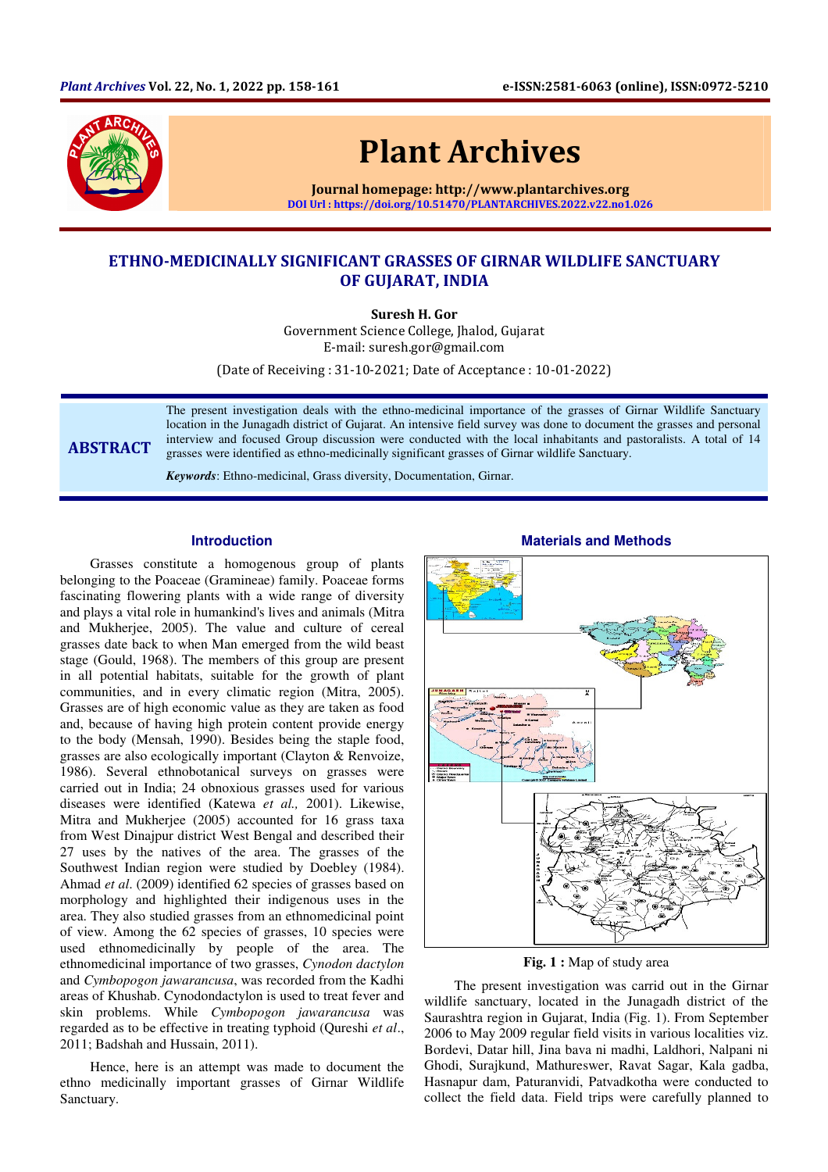

# Plant Archives

Journal homepage: http://www.plantarchives.org DOI Url : https://doi.org/10.51470/PLANTARCHIVES.2022.v22.no1.026

## ETHNO-MEDICINALLY SIGNIFICANT GRASSES OF GIRNAR WILDLIFE SANCTUARY OF GUJARAT, INDIA

Suresh H. Gor

Government Science College, Jhalod, Gujarat E-mail: suresh.gor@gmail.com

(Date of Receiving : 31-10-2021; Date of Acceptance : 10-01-2022)

## ABSTRACT

The present investigation deals with the ethno-medicinal importance of the grasses of Girnar Wildlife Sanctuary location in the Junagadh district of Gujarat. An intensive field survey was done to document the grasses and personal interview and focused Group discussion were conducted with the local inhabitants and pastoralists. A total of 14 grasses were identified as ethno-medicinally significant grasses of Girnar wildlife Sanctuary.

*Keywords*: Ethno-medicinal, Grass diversity, Documentation, Girnar.

## **Introduction**

Grasses constitute a homogenous group of plants belonging to the Poaceae (Gramineae) family. Poaceae forms fascinating flowering plants with a wide range of diversity and plays a vital role in humankind's lives and animals (Mitra and Mukherjee, 2005). The value and culture of cereal grasses date back to when Man emerged from the wild beast stage (Gould, 1968). The members of this group are present in all potential habitats, suitable for the growth of plant communities, and in every climatic region (Mitra, 2005). Grasses are of high economic value as they are taken as food and, because of having high protein content provide energy to the body (Mensah, 1990). Besides being the staple food, grasses are also ecologically important (Clayton & Renvoize, 1986). Several ethnobotanical surveys on grasses were carried out in India; 24 obnoxious grasses used for various diseases were identified (Katewa *et al.,* 2001). Likewise, Mitra and Mukherjee (2005) accounted for 16 grass taxa from West Dinajpur district West Bengal and described their 27 uses by the natives of the area. The grasses of the Southwest Indian region were studied by Doebley (1984). Ahmad *et al*. (2009) identified 62 species of grasses based on morphology and highlighted their indigenous uses in the area. They also studied grasses from an ethnomedicinal point of view. Among the 62 species of grasses, 10 species were used ethnomedicinally by people of the area. The ethnomedicinal importance of two grasses, *Cynodon dactylon* and *Cymbopogon jawarancusa*, was recorded from the Kadhi areas of Khushab. Cynodondactylon is used to treat fever and skin problems. While *Cymbopogon jawarancusa* was regarded as to be effective in treating typhoid (Qureshi *et al*., 2011; Badshah and Hussain, 2011).

Hence, here is an attempt was made to document the ethno medicinally important grasses of Girnar Wildlife Sanctuary.



**Fig. 1 :** Map of study area

The present investigation was carrid out in the Girnar wildlife sanctuary, located in the Junagadh district of the Saurashtra region in Gujarat, India (Fig. 1). From September 2006 to May 2009 regular field visits in various localities viz. Bordevi, Datar hill, Jina bava ni madhi, Laldhori, Nalpani ni Ghodi, Surajkund, Mathureswer, Ravat Sagar, Kala gadba, Hasnapur dam, Paturanvidi, Patvadkotha were conducted to collect the field data. Field trips were carefully planned to

## **Materials and Methods**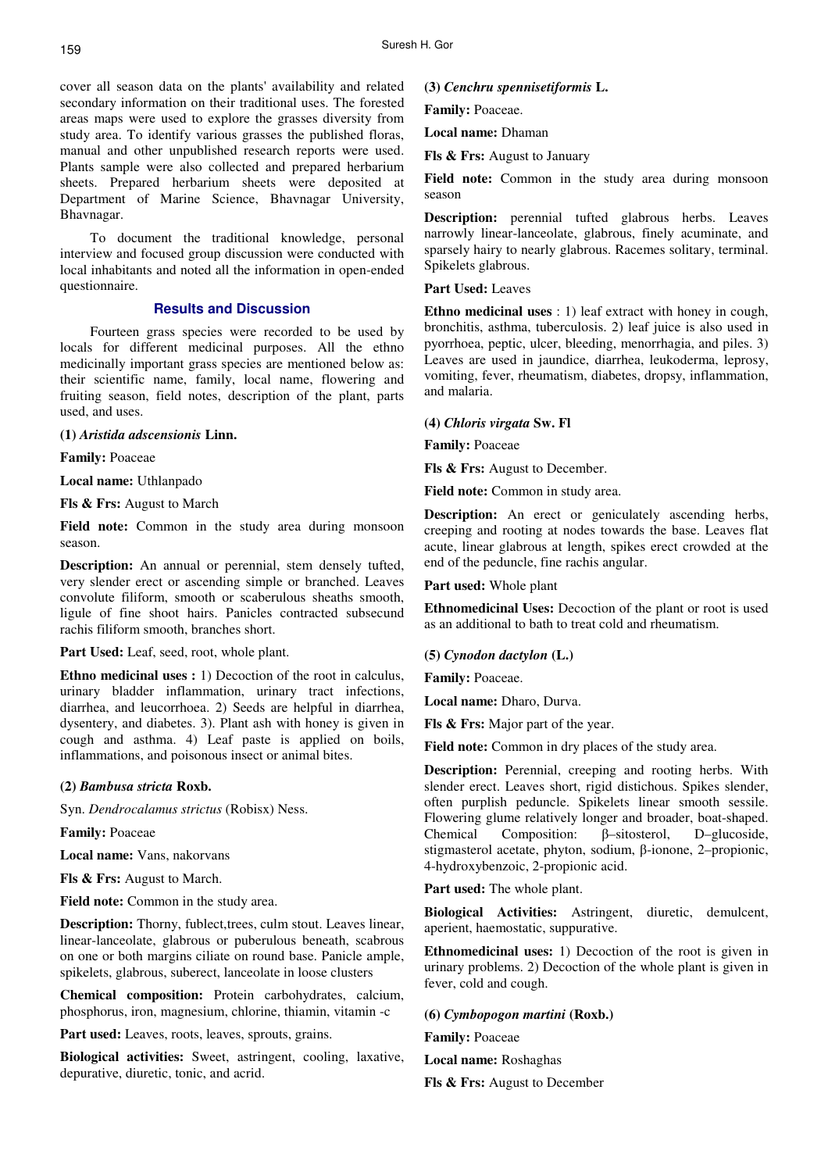cover all season data on the plants' availability and related secondary information on their traditional uses. The forested areas maps were used to explore the grasses diversity from study area. To identify various grasses the published floras, manual and other unpublished research reports were used. Plants sample were also collected and prepared herbarium sheets. Prepared herbarium sheets were deposited at Department of Marine Science, Bhavnagar University, Bhavnagar.

To document the traditional knowledge, personal interview and focused group discussion were conducted with local inhabitants and noted all the information in open-ended questionnaire.

#### **Results and Discussion**

Fourteen grass species were recorded to be used by locals for different medicinal purposes. All the ethno medicinally important grass species are mentioned below as: their scientific name, family, local name, flowering and fruiting season, field notes, description of the plant, parts used, and uses.

#### **(1)** *Aristida adscensionis* **Linn.**

**Family:** Poaceae

**Local name:** Uthlanpado

**Fls & Frs:** August to March

**Field note:** Common in the study area during monsoon season.

**Description:** An annual or perennial, stem densely tufted, very slender erect or ascending simple or branched. Leaves convolute filiform, smooth or scaberulous sheaths smooth, ligule of fine shoot hairs. Panicles contracted subsecund rachis filiform smooth, branches short.

**Part Used:** Leaf, seed, root, whole plant.

**Ethno medicinal uses :** 1) Decoction of the root in calculus, urinary bladder inflammation, urinary tract infections, diarrhea, and leucorrhoea. 2) Seeds are helpful in diarrhea, dysentery, and diabetes. 3). Plant ash with honey is given in cough and asthma. 4) Leaf paste is applied on boils, inflammations, and poisonous insect or animal bites.

#### **(2)** *Bambusa stricta* **Roxb.**

Syn. *Dendrocalamus strictus* (Robisx) Ness.

**Family:** Poaceae

**Local name:** Vans, nakorvans

**Fls & Frs:** August to March.

**Field note:** Common in the study area.

**Description:** Thorny, fublect,trees, culm stout. Leaves linear, linear-lanceolate, glabrous or puberulous beneath, scabrous on one or both margins ciliate on round base. Panicle ample, spikelets, glabrous, suberect, lanceolate in loose clusters

**Chemical composition:** Protein carbohydrates, calcium, phosphorus, iron, magnesium, chlorine, thiamin, vitamin -c

Part used: Leaves, roots, leaves, sprouts, grains.

**Biological activities:** Sweet, astringent, cooling, laxative, depurative, diuretic, tonic, and acrid.

#### **(3)** *Cenchru spennisetiformis* **L.**

**Family:** Poaceae.

**Local name:** Dhaman

**Fls & Frs:** August to January

**Field note:** Common in the study area during monsoon season

**Description:** perennial tufted glabrous herbs. Leaves narrowly linear-lanceolate, glabrous, finely acuminate, and sparsely hairy to nearly glabrous. Racemes solitary, terminal. Spikelets glabrous.

**Part Used:** Leaves

**Ethno medicinal uses** : 1) leaf extract with honey in cough, bronchitis, asthma, tuberculosis. 2) leaf juice is also used in pyorrhoea, peptic, ulcer, bleeding, menorrhagia, and piles. 3) Leaves are used in jaundice, diarrhea, leukoderma, leprosy, vomiting, fever, rheumatism, diabetes, dropsy, inflammation, and malaria.

#### **(4)** *Chloris virgata* **Sw. Fl**

**Family:** Poaceae

**Fls & Frs:** August to December.

**Field note:** Common in study area.

**Description:** An erect or geniculately ascending herbs, creeping and rooting at nodes towards the base. Leaves flat acute, linear glabrous at length, spikes erect crowded at the end of the peduncle, fine rachis angular.

**Part used:** Whole plant

**Ethnomedicinal Uses:** Decoction of the plant or root is used as an additional to bath to treat cold and rheumatism.

#### **(5)** *Cynodon dactylon* **(L.)**

**Family:** Poaceae.

**Local name:** Dharo, Durva.

**Fls & Frs:** Major part of the year.

**Field note:** Common in dry places of the study area.

**Description:** Perennial, creeping and rooting herbs. With slender erect. Leaves short, rigid distichous. Spikes slender, often purplish peduncle. Spikelets linear smooth sessile. Flowering glume relatively longer and broader, boat-shaped. Chemical Composition: β–sitosterol, D–glucoside, stigmasterol acetate, phyton, sodium, β-ionone, 2–propionic, 4-hydroxybenzoic, 2-propionic acid.

**Part used:** The whole plant.

**Biological Activities:** Astringent, diuretic, demulcent, aperient, haemostatic, suppurative.

**Ethnomedicinal uses:** 1) Decoction of the root is given in urinary problems. 2) Decoction of the whole plant is given in fever, cold and cough.

**(6)** *Cymbopogon martini* **(Roxb.)** 

**Family:** Poaceae

**Local name:** Roshaghas

**Fls & Frs:** August to December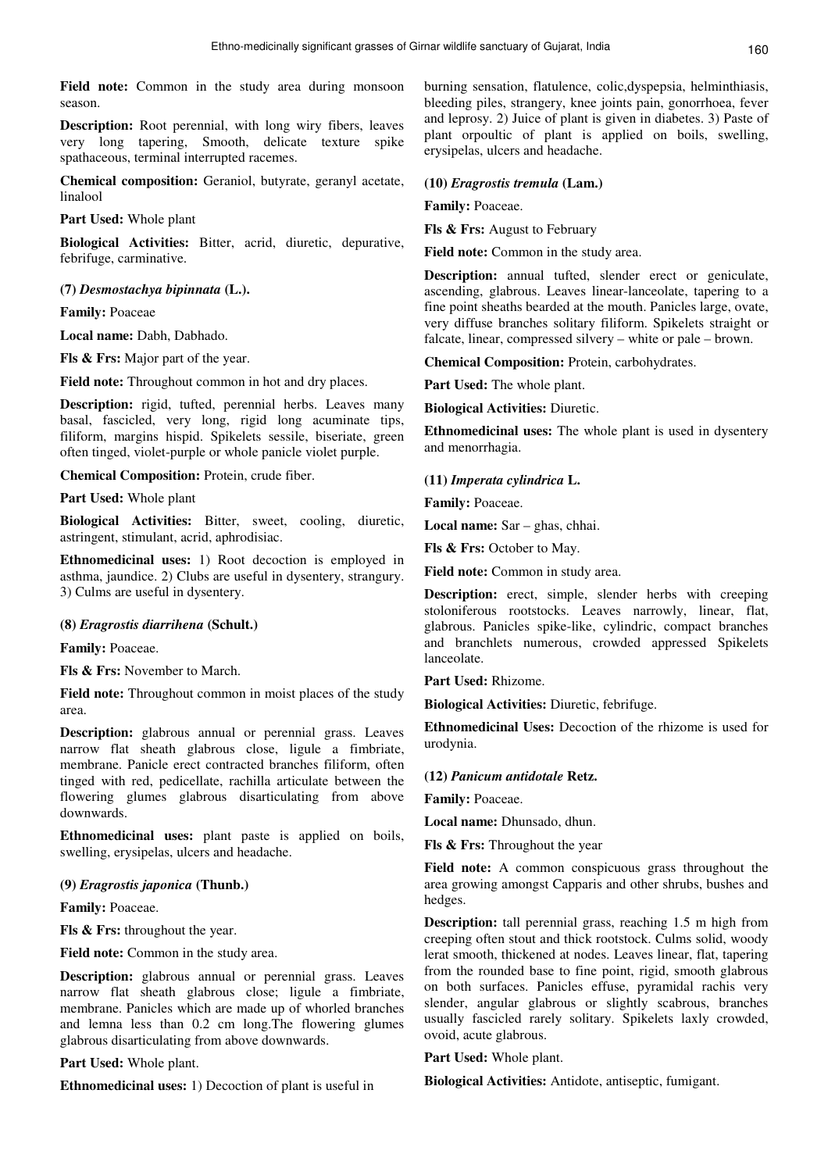**Field note:** Common in the study area during monsoon season.

**Description:** Root perennial, with long wiry fibers, leaves very long tapering, Smooth, delicate texture spike spathaceous, terminal interrupted racemes.

**Chemical composition:** Geraniol, butyrate, geranyl acetate, linalool

**Part Used:** Whole plant

**Biological Activities:** Bitter, acrid, diuretic, depurative, febrifuge, carminative.

#### **(7)** *Desmostachya bipinnata* **(L.).**

**Family:** Poaceae

**Local name:** Dabh, Dabhado.

**Fls & Frs:** Major part of the year.

**Field note:** Throughout common in hot and dry places.

**Description:** rigid, tufted, perennial herbs. Leaves many basal, fascicled, very long, rigid long acuminate tips, filiform, margins hispid. Spikelets sessile, biseriate, green often tinged, violet-purple or whole panicle violet purple.

**Chemical Composition:** Protein, crude fiber.

**Part Used:** Whole plant

**Biological Activities:** Bitter, sweet, cooling, diuretic, astringent, stimulant, acrid, aphrodisiac.

**Ethnomedicinal uses:** 1) Root decoction is employed in asthma, jaundice. 2) Clubs are useful in dysentery, strangury. 3) Culms are useful in dysentery.

## **(8)** *Eragrostis diarrihena* **(Schult.)**

**Family:** Poaceae.

**Fls & Frs:** November to March.

**Field note:** Throughout common in moist places of the study area.

**Description:** glabrous annual or perennial grass. Leaves narrow flat sheath glabrous close, ligule a fimbriate, membrane. Panicle erect contracted branches filiform, often tinged with red, pedicellate, rachilla articulate between the flowering glumes glabrous disarticulating from above downwards.

**Ethnomedicinal uses:** plant paste is applied on boils, swelling, erysipelas, ulcers and headache.

## **(9)** *Eragrostis japonica* **(Thunb.)**

**Family:** Poaceae.

**Fls & Frs:** throughout the year.

**Field note:** Common in the study area.

**Description:** glabrous annual or perennial grass. Leaves narrow flat sheath glabrous close; ligule a fimbriate, membrane. Panicles which are made up of whorled branches and lemna less than 0.2 cm long.The flowering glumes glabrous disarticulating from above downwards.

**Part Used:** Whole plant.

**Ethnomedicinal uses:** 1) Decoction of plant is useful in

burning sensation, flatulence, colic,dyspepsia, helminthiasis, bleeding piles, strangery, knee joints pain, gonorrhoea, fever and leprosy. 2) Juice of plant is given in diabetes. 3) Paste of plant orpoultic of plant is applied on boils, swelling, erysipelas, ulcers and headache.

**(10)** *Eragrostis tremula* **(Lam.)** 

**Family:** Poaceae.

**Fls & Frs:** August to February

**Field note:** Common in the study area.

**Description:** annual tufted, slender erect or geniculate, ascending, glabrous. Leaves linear-lanceolate, tapering to a fine point sheaths bearded at the mouth. Panicles large, ovate, very diffuse branches solitary filiform. Spikelets straight or falcate, linear, compressed silvery – white or pale – brown.

**Chemical Composition:** Protein, carbohydrates.

**Part Used:** The whole plant.

**Biological Activities:** Diuretic.

**Ethnomedicinal uses:** The whole plant is used in dysentery and menorrhagia.

#### **(11)** *Imperata cylindrica* **L.**

**Family:** Poaceae.

**Local name:** Sar – ghas, chhai.

Fls & Frs: October to May.

**Field note:** Common in study area.

**Description:** erect, simple, slender herbs with creeping stoloniferous rootstocks. Leaves narrowly, linear, flat, glabrous. Panicles spike-like, cylindric, compact branches and branchlets numerous, crowded appressed Spikelets lanceolate.

**Part Used:** Rhizome.

**Biological Activities:** Diuretic, febrifuge.

**Ethnomedicinal Uses:** Decoction of the rhizome is used for urodynia.

#### **(12)** *Panicum antidotale* **Retz.**

**Family:** Poaceae.

**Local name:** Dhunsado, dhun.

**Fls & Frs:** Throughout the year

**Field note:** A common conspicuous grass throughout the area growing amongst Capparis and other shrubs, bushes and hedges.

**Description:** tall perennial grass, reaching 1.5 m high from creeping often stout and thick rootstock. Culms solid, woody lerat smooth, thickened at nodes. Leaves linear, flat, tapering from the rounded base to fine point, rigid, smooth glabrous on both surfaces. Panicles effuse, pyramidal rachis very slender, angular glabrous or slightly scabrous, branches usually fascicled rarely solitary. Spikelets laxly crowded, ovoid, acute glabrous.

**Part Used:** Whole plant.

**Biological Activities:** Antidote, antiseptic, fumigant.